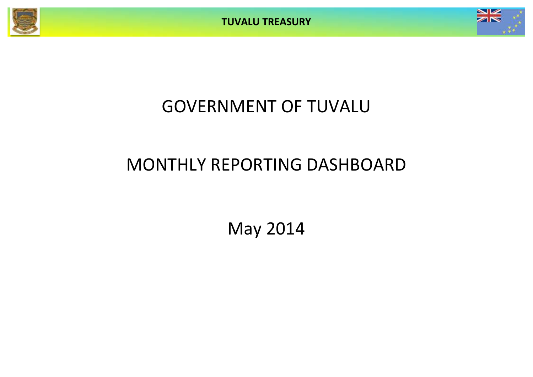



# GOVERNMENT OF TUVALU

# MONTHLY REPORTING DASHBOARD

May 2014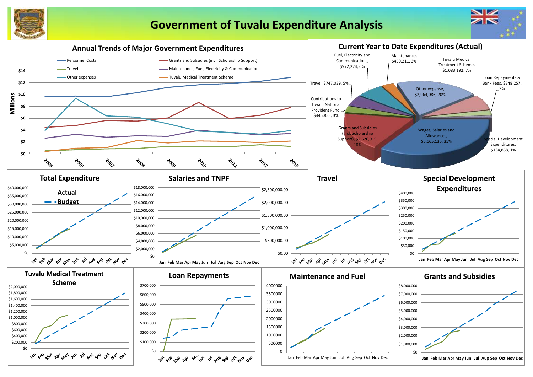

## **Government of Tuvalu Expenditure Analysis**

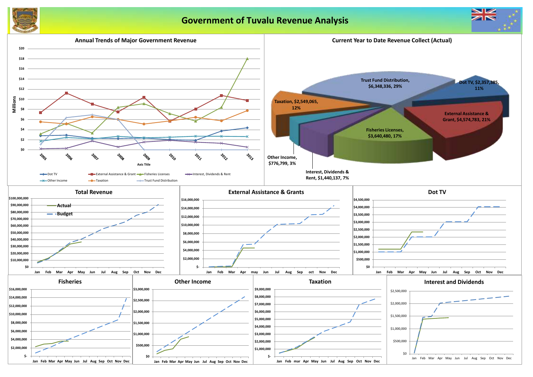

### **Government of Tuvalu Revenue Analysis**



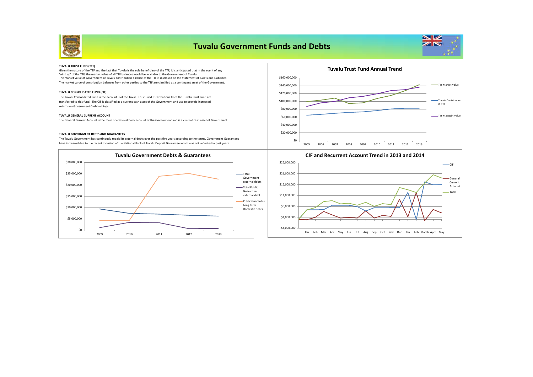

### **Tuvalu Government Funds and Debts**



#### **TUVALU TRUST FUND (TTF)**

The market value of Government of Tuvalu contribution balance of the TTF is disclosed on the Statement of Assets and Liabilities. The market value of contribution balances from other parties to the TTF are classified as a contingent asset of the Government. Given the nature of the TTF and the fact that Tuvalu is the sole beneficiary of the TTF, it is anticipated that in the event of any 'wind up' of the TTF, the market value of all TTF balances would be available to the Government of Tuvalu.

#### **TUVALU CONSOLIDATED FUND (CIF)**

The Tuvalu Consolidated Fund is the account B of the Tuvalu Trust Fund. Distributions from the Tuvalu Trust Fund are transferred to this fund. The CIF is classified as a current cash asset of the Government and use to provide increased returns on Government Cash holdings.

#### **TUVALU GENERAL CURRENT ACCOUNT**

The General Current Account is the main operational bank account of the Government and is a current cash asset of Government.

#### **TUVALU GOVERNMENT DEBTS AND GUARANTEES**

The Tuvalu Government has continously repaid its external debts over the past five years according to the terms. Government Guarantees have increased due to the recent inclusion of the National Bank of Tuvalu Deposit Gaurantee which was not reflected in past years.







#### **CIF and Recurrent Account Trend in 2013 and 2014**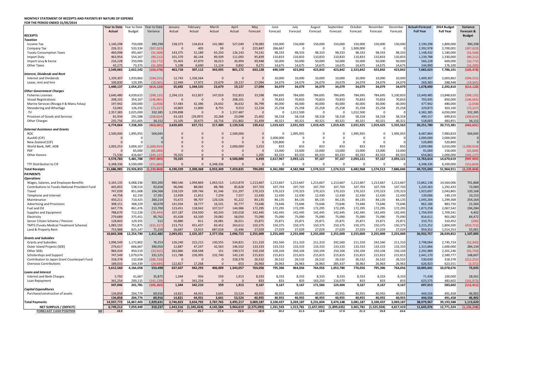#### **MONTHLY STATEMENT OF RECEIPTS AND PAYENTS BY NATURE OF EXPENSE**

| FOR THE PERIOD ENDED 31/05/2014                 |                |               |              |              |              |                |             |                |            |                |             |             |                 |                |           |                        |                  |               |
|-------------------------------------------------|----------------|---------------|--------------|--------------|--------------|----------------|-------------|----------------|------------|----------------|-------------|-------------|-----------------|----------------|-----------|------------------------|------------------|---------------|
|                                                 | Year to Date   | Year to Date  | Year to Date | January      | February     | March          | April       | May            | June       | July           | August      | September   | October         | November       | December  | <b>Actual+Forecast</b> | 2014 Budget      | Variance      |
|                                                 | Actual         | <b>Budget</b> | Variance     | Actual       | Actual       | Actual         | Actual      | Forecast       | Forecast   | Forecast       | Forecast    | Forecast    | <b>Forecast</b> | Forecast       | Forecast  | <b>Full Year</b>       | <b>Full Year</b> | Forecast &    |
| <b>RECEIPTS</b>                                 |                |               |              |              |              |                |             |                |            |                |             |             |                 |                |           |                        |                  | <b>Budget</b> |
| Taxation                                        |                |               |              |              |              |                |             |                |            |                |             |             |                 |                |           |                        |                  |               |
| Income Tax                                      | 1,140,298      | 750,000       | 390,298      | 158,373      | 134,814      | 141,980        | 527,049     | 178,083        | 150,000    | 150,000        | 150,000     | 150,000     | 150,000         | 150,000        | 150,000   | 2,190,298              | 1,800,000        | 390,298       |
|                                                 |                |               |              |              |              |                |             |                |            |                |             |             |                 |                |           |                        |                  |               |
| Company Tax                                     | 226,311        | 533,334       | (307,023     | $\Omega$     | 405          | 59             | $\mathbf 0$ | 225,847        | 266,667    | $\Omega$       | $\Omega$    | $\Omega$    | 1,900,000       | $\Omega$       |           | 2,392,978              | 2,700,001        | (307, 023)    |
| <b>Tuvalu Consumption Taxes</b>                 | 460,098        | 491,667       | (31, 568)    | 143,375      | 51,189       | 65,250         | 126,143     | 74,141         | 98.333     | 98.333         | 98.333      | 98,333      | 98.333          | 98,333         | 98,333    | 1,148,432              | 1,180,000        | (31, 568)     |
| Import Duty                                     | 463,954        | 554,167       | (90, 212)    | 101,370      | 66,144       | 89,509         | 111,093     | 95,839         | 110,833    | 110,833        | 110,833     | 110,833     | 110,833         | 110,833        | 110,833   | 1,239,788              | 1,330,000        | (90, 212)     |
| Import Levy & Excise                            | 216,228        | 250,000       | (33, 772)    | 55,403       | 47,870       | 36,013         | 26,994      | 49,948         | 50,000     | 50,000         | 50,000      | 50,000      | 50,000          | 50,000         | 50,000    | 566,228                | 600,000          | (33, 772)     |
|                                                 |                |               | 131,201      |              |              |                |             |                |            |                |             |             |                 |                |           | 144,900                |                  | (31.200       |
| Other Taxes                                     | 42,175         | 73,375        |              | 5,198        | 6,690        | 11,124         | 9,892       | 9,271          | 14,675     | 14,675         | 14,675      | 14,675      | 14,675          | 14,675         | 14,675    |                        | 176,100          |               |
|                                                 | 2,549,065      | 2,652,542     | (103, 478)   | 463,718      | 307,112      | 343,935        | 801,172     | 633,128        | 690,509    | 423,842        | 423,842     | 423,842     | 2,323,842       | 423,842        | 423,842   | 7,682,623              | 7,786,101        | (103, 478)    |
| <b>Interest, Dividends and Rent</b>             |                |               |              |              |              |                |             |                |            |                |             |             |                 |                |           |                        |                  |               |
| Interest and Dividends                          | 1,339,307      | 1,933,862     | (594,555     | 12,743       | 1,326,564    | $\Omega$       | $\Omega$    | $\Omega$       | 10,000     | 10,000         | 10,000      | 10,000      | 10,000          | 10,000         | 10,000    | 1,409,307              | 2,003,862        | (594,555      |
| Lease, rent and hire                            | 100,830        | 120,395       | (19.56)      | 22,949       | 17,972       | 23,679         | 19,137      | 17,094         | 24,079     | 24,079         | 24,079      | 24,079      | 24,079          | 24,079         | 24,079    | 269,383                | 288,948          | (19.56)       |
|                                                 | 1,440,137      | 2.054.257     | (614.120     | 35,692       | 1,344,535    | 23,679         | 19,137      | 17,094         | 34,079     | 34,079         | 34,079      | 34,079      | 34,079          | 34,079         | 34,079    | 1,678,690              | 2,292,810        | (614.120      |
|                                                 |                |               |              |              |              |                |             |                |            |                |             |             |                 |                |           |                        |                  |               |
| <b>Other Government Charges</b>                 |                |               |              |              |              |                |             |                |            |                |             |             |                 |                |           |                        |                  |               |
| <b>Fisheries Licenses</b>                       | 3,640,480      | 4,039,615     | (399,135     | 2,294,153    | 612,857      | 147,019        | 552,853     | 33,598         | 784,695    | 784,695        | 784,695     | 784,695     | 784,695         | 784,695        | 5,100,833 | 13,449,485             | 13,848,620       | (399, 135)    |
| <b>Vessel Registrations</b>                     | 208,101        | 354,167       | (146,065)    | $\mathbf{0}$ | $\mathbf{0}$ | $\overline{0}$ | 208,101     | $\overline{0}$ | 70,833     | 70,833         | 70,833      | 70,833      | 70,833          | 70,833         | 70,833    | 703,935                | 850,000          | (146, 065)    |
| Marine Services (Nivaga II & Manu Folau)        | 197,942        | 200,000       | (2,058)      | 57,483       | 42,386       | 24,642         | 36,632      | 36,799         | 40,000     | 40,000         | 40,000      | 40,000      | 40,000          | 40,000         | 40,000    | 477,942                | 480,000          | (2,058)       |
| Stevedoring and Wharfage                        | 53,065         | 126,292       | (73, 227)    | 10,803       | 11,800       | 8,755          | 9,553       | 12,154         | 25,258     | 25,258         | 25,258      | 25,258      | 25,258          | 25,258         | 25,258    | 229,873                | 303,100          | (73, 227)     |
| .TV                                             | 2,357,385      | 2,025,000     | 332,385      | 1,199,898    | $\Omega$     | $\mathbf{0}$   | 1,157,487   | $\Omega$       | $\Omega$   | 1,012,500      | $\Omega$    | $\Omega$    | 1,012,500       | $\Omega$       |           | 4,382,385              | 4,050,000        | 332,385       |
|                                                 |                |               |              |              |              |                |             |                |            |                |             |             |                 |                |           |                        |                  |               |
| Provision of Goods and Services                 | 81,934         | 291,588       | (209,654     | 43,163       | (29, 997)    | 20,268         | 23,098      | 25,402         | 58,318     | 58,318         | 58,318      | 58,318      | 58,318          | 58,318         | 58,318    | 490,157                | 699,810          | (209, 654)    |
| Other Charges                                   | 235.756        | 201.605       | 34,152       | 15.105       | 20.675       | 16.716         | 151.802     | 31.459         | 40.321     | 40.321         | 40.321      | 40.321      | 40.321          | 40.321         | 40.32     | 518,003                | 483.851          | 34,152        |
|                                                 | 6,774,664      | 7,238,265     | (463,601     | 3,620,605    | 657,721      | 217,400        | 2,139,526   | 139,412        | 1,019,425  | 2,031,925      | 1,019,425   | 1,019,425   | 2,031,925       | 1,019,425      | 5,335,563 | 20,251,780             | 20,715,381       | (463, 601)    |
| <b>External Assistance and Grants</b>           |                |               |              |              |              |                |             |                |            |                |             |             |                 |                |           |                        |                  |               |
| <b>ROC</b>                                      | 2,500,000      | 1,995,955     | 504,045      | $\Omega$     | $\Omega$     | $\overline{0}$ | 2,500,000   | $\Omega$       | $^{\circ}$ | 1,995,955      | $\mathbf 0$ | $\mathbf 0$ | 1,995,955       | $\overline{0}$ | 1,995,955 | 8,487,864              | 7,983,819        | 504,045       |
|                                                 |                |               |              |              |              |                |             |                |            |                |             |             |                 |                |           |                        |                  |               |
| AusAID (CIF)                                    | $\overline{0}$ | $\Omega$      |              | $\mathbf{0}$ | $\Omega$     | $\overline{0}$ | $\mathbf 0$ | $\Omega$       | 2,000,000  | $\overline{0}$ | $\mathbf 0$ | $\mathbf 0$ | $\Omega$        | $\overline{0}$ |           | 2,000,000              | 2,000,000        |               |
| New Zealand (CIF)                               | $\Omega$       | $\Omega$      |              | $\Omega$     | $\Omega$     | $\Omega$       | $\Omega$    | $\Omega$       | 520,800    | $\Omega$       | $\Omega$    | $\Omega$    | $\Omega$        | $\Omega$       |           | 520,800                | 520,800          |               |
| World Bank, IMF, ADB                            | 2,003,253      | 3,004,167     | (1,000,914)  | $\Omega$     | $\Omega$     | $\Omega$       | 2,000,000   | 3,253          | 833        | 833            | 833         | 833         | 833             | 833            | 833       | 2,009,086              | 3,010,000        | (1,000,914)   |
| PDF                                             | $\Omega$       | 65,000        | (65,000)     | $\Omega$     | $\Omega$     | $\Omega$       | $\Omega$    | $\overline{0}$ | 13,000     | 13,000         | 13,000      | 13,000      | 13,000          | 13,000         | 13,000    | 91,000                 | 156,000          | (65,000)      |
| <b>Other Donors</b>                             | 71,530         | 416,667       | (345.137     | 70,325       | $\Omega$     | $\Omega$       | $\Omega$    | 1,205          | 83,333     | 83,333         | 83,333      | 83,333      | 83,333          | 83,333         | 83,333    | 654,863                | 1,000,000        | (345.137      |
|                                                 |                |               |              |              |              |                |             |                |            |                |             |             |                 |                |           |                        |                  |               |
|                                                 | 4,574,783      | 5,481,788     | (907,005     | 70,325       | $\mathbf{0}$ | $\mathbf{0}$   | 4,500,000   | 4,459          | 2,617,967  | 2,093,121      | 97,167      | 97,167      | 2,093,121       | 97,167         | 2,093,121 | 13,763,614             | 14,670,619       | (907,005      |
| TTF Distribution to CIF                         | 6,348,336      | 6,500,000     | (151, 664)   | $\Omega$     | $\Omega$     | 6,348,336      | $\Omega$    | $\Omega$       | $\Omega$   | $\Omega$       | $\Omega$    | $\Omega$    | $\Omega$        | $\Omega$       |           | 6,348,336              | 6,500,000        | (151, 664)    |
| <b>Total Receipts</b>                           | 21,686,985     | 23,926,853    | (2.239.86    | 4,190,339    | 2,309,368    | 6,933,349      | 7,459,835   | 794,093        | 4,361,980  | 4,582,968      | 1,574,513   | 1,574,513   | 6,482,968       | 1,574,513      | 7,886,606 | 49,725,043             | 51,964,911       | (2, 239, 86)  |
|                                                 |                |               |              |              |              |                |             |                |            |                |             |             |                 |                |           |                        |                  |               |
| <b>PAYMENTS</b>                                 |                |               |              |              |              |                |             |                |            |                |             |             |                 |                |           |                        |                  |               |
| <b>Operations</b>                               |                |               |              |              |              |                |             |                |            |                |             |             |                 |                |           |                        |                  |               |
| Wages, Salaries, and Employee Benefits          | 5,165,135      | 6,068,336     | 903,200      | 980,546      | 1,094,869    | 1,063,515      | 1,013,870   | 1,213,667      | 1,213,667  | 1,213,667      | 1,213,667   | 1,213,667   | 1,213,667       | 1,213,667      | 1,213,667 | 13,862,138             | 14,564,006       | 701,868       |
| Contributions to Tuvalu National Provident Fund | 445,855        | 538,514       | 92,658       | 96,046       | 88,082       | 88.786         | 85,828      | 107,703        | 107,703    | 107,703        | 107,703     | 107.703     | 107.703         | 107,703        | 107,703   | 1,220,363              | 1,292,433        | 72,069        |
|                                                 |                |               |              |              |              |                |             |                |            |                |             |             |                 |                |           |                        |                  |               |
| Travel                                          |                |               |              |              |              |                |             |                |            |                | 170,323     | 170,323     | 170,323         | 170,323        |           |                        |                  |               |
|                                                 | 747,039        | 851,608       | 104,568      | 218,529      | 109,746      | 81,546         | 151,297     | 170,323        | 170,323    | 170,323        | 12,430      |             |                 |                | 170,323   | 1,923,697              | 2,043,865        | 120,168       |
| Telephone and Internet                          | 44.758         | 62.150        | 17,391       | 12,939       | 11.812       | 7,259          | 7,557       | 12,430         | 12,430     | 12.430         |             | 12,430      | 12,430          | 12,430         | 12,430    | 139,006                | 149,159          | 10,153        |
| Maintenance                                     | 450,211        | 710,425       | 260,214      | 55,672       | 98,707       | 126,526        | 91,222      | 84,135         | 84,135     | 84,135         | 84,135      | 84,135      | 84,135          | 84,135         | 84,135    | 1,045,204              | 1,299,368        | 254,164       |
|                                                 |                |               |              |              |              |                |             |                |            |                |             |             |                 |                |           |                        |                  |               |
| <b>Advertising and Provisions</b>               | 308,151        | 368,229       | 60,078       | 141,934      | 18,777       | 16,531         | 95,777      | 73,646         | 73,646     | 73,646         | 73,646      | 73,646      | 73,646          | 73,646         | 73,646    | 862,186                | 883,750          | 21,564        |
| Fuel and Oil                                    | 647,776        | 861,476       | 213,700      | 123,451      | 118,942      | 107,517        | 144,986     | 172,295        | 172,295    | 172,295        | 172,295     | 172,295     | 172,295         | 172,295        | 172,295   | 1,873,258              | 2,067,542        | 194,284       |
| Supplies and Equipment                          | 788,670        | 712,226       | (76, 444)    | 107,187      | 254,930      | 60,243         | 143,018     | 142,445        | 142,445    | 142,445        | 142,445     | 142,445     | 142,445         | 142,445        | 142,445   | 1,704,939              | 1,709,341        | 4,402         |
| Electricity                                     | 279,689        | 375,451       | 95,762       | 65,428       | 63,330       | 29,082         | 58,050      | 75,090         | 75,090     | 75,090         | 75,090      | 75,090      | 75,090          | 75,090         | 75,090    | 816,611                | 901,082          | 84,472        |
| Senior Citizen Scheme / Pension                 | 128,843        | 129,355       | 512          | 50,880       | 811          | 26,081         | 26,011      | 25,871         | 25,871     | 25,871         | 25,871      | 25,871      | 25,871          | 25,871         | 25,871    | 310,751                | 310,452          | (299          |
|                                                 |                |               |              |              |              |                |             |                |            |                |             |             |                 |                |           |                        |                  |               |
| TMTS (Tuvalu Medical Treatment Scheme)          | 1,083,192      | 751,875       | (331, 317)   | 213,752      | 451,437      | 83,452         | 263,612     | 150,375        | 150,375    | 150,375        | 150,375     | 150,375     | 150,375         | 150,375        | 150,375   | 2,215,252              | 1,804,500        | (410, 752)    |
| Land & Property Rent                            | 753,988        | 825,147       | 71,159       | 26,687       | 13,915       | 687,018        | 15,496      | 27,029         | 27,029     | 27,029         | 27,029      | 27,029      | 27,029          | 27,029         | 27,029    | 959,352                | 1,014,353        | 55,001        |
|                                                 | 10,843,308     | 12,254,790    | 1,411,482    | 2,093,051    | 2,325,357    | 2,377,556      | 2,096,723   | 2,255,009      | 2,255,009  | 2,255,009      | 2,255,009   | 2,255,009   | 2,255,009       | 2,255,009      | 2,255,009 | 26,932,757             | 28,039,852       | 1,107,095     |
| Grants and Subsidies                            |                |               |              |              |              |                |             |                |            |                |             |             |                 |                |           |                        |                  |               |
| <b>Grants and Subsidies</b>                     | 1,096,549      | 1,172,802     | 76,253       | 126,240      | 222,215      | 130,555        | 534,821     | 211,310        | 242,560    | 211,310        | 211,310     | 242,560     | 211,310         | 242,560        | 211,310   | 2,798,064              | 2,745,724        | (52, 340)     |
| Outer Island Projects (SDE)                     | 276,617        | 666,667       | 390,050      | 12,887       | 47,247       | 42,563         | 146,502     | 133,333        | 133,333    | 133,333        | 133,333     | 133,333     | 133,333         | 133,333        | 133,333   | 1,315,866              | 1,600,000        | 284,134       |
|                                                 |                |               |              |              |              |                |             |                |            |                |             |             |                 |                |           |                        |                  |               |
| Other SDEs                                      | 984.434        | 950.519       | (33.915      | 263.866      | 428.568      | 151            | 199,573     | 150,104        | 150,104    | 350,104        | 150,104     | 150.104     | 150.104         | 150,104        | 150,104   | 2.292.989              | 2,201,246        | (91, 743)     |
| Scholarships and Support                        | 747,549        | 1,079,074     | 331,525      | 111,788      | 226,995      | 232,740        | 143,130     | 215,815        | 215,815    | 215,815        | 215,815     | 215,815     | 215,815         | 215,815        | 215,815   | 2,441,170              | 2,589,777        | 148,607       |
| Contribution to Japan Grant Counterpart Fund    | 318,378        | 132,658       | (185,720     | $\Omega$     | $\Omega$     | $\overline{0}$ | 318,378     | 26,532         | 26,532     | 26,532         | 26,532      | 26,532      | 26,532          | 26,532         | 26,532    | 530,630                | 318,378          | (212, 252)    |
| <b>Overseas Contributions</b>                   | 189.033        | 164.339       | (24.694)     | 122.827      | 17.268       | $\Omega$       | 653         | 26.963         | 26.963     | 26,963         | 26.963      | 285.437     | 38,963          | 26,963         | 26.963    | 626,923                | 623.551          | (3.372)       |
|                                                 | 3,612,560      | 4,166,058     | 553,498      | 637,607      | 942,293      | 406,009        | 1,343,057   | 764,056        | 795,306    | 964,056        | 764,056     | 1,053,780   | 776,056         | 795,306        | 764,056   | 10,005,641             | 10,078,676       | 73,035        |
|                                                 |                |               |              |              |              |                |             |                |            |                |             |             |                 |                |           |                        |                  |               |
| Loans and Interest                              |                |               |              |              |              |                |             |                |            |                |             |             |                 |                |           |                        |                  |               |
| Interest and Bank Charges                       | 5,792          | 41,667        | 35,875       | 1,344        | 956          | 559            | 1,913       | 8,333          | 8,333      | 8,333          | 8,333       | 8,333       | 8,333           | 8,333          | 8,333     | 71,438                 | 100,000          | 28,561        |
| Loan Repayment                                  | 341,254        | 200.115       | (141.13)     |              | 341,254      | $\Omega$       |             | 833            | 833        | 833            | 163,250     | 116,070     | 833             | 833            | 833       | 625,575                | 483.602          | (141.973      |
|                                                 | 347,046        | 241,781       | (105, 265)   | 1,344        | 342,210      | 559            | 1,913       | 9,167          | 9,167      | 9,167          | 171,584     | 124,404     | 9,167           | 9,167          | 9,167     | 697,013                | 583,602          | (113, 411)    |
| <b>Capital Expenditures</b>                     |                |               |              |              |              |                |             |                |            |                |             |             |                 |                |           |                        |                  |               |
|                                                 | 134.858        | 204.774       | 69.91        | 14.821       | 44.931       | 3.641          | 53.524      | 40.955         | 40.955     | 40.955         | 40.955      | 40.955      | 40.955          | 40.955         | 40.95     | 444.556                | 491.458          | 46.902        |
| Purchase/construction of assets                 |                |               |              |              |              |                |             |                |            |                |             |             |                 |                |           |                        |                  |               |
|                                                 | 134,858        | 204.774       | 69,916       | 14,821       | 44,931       | 3,641          | 53,524      | 40,955         | 40,955     | 40,955         | 40,955      | 40,955      | 40.955          | 40,955         | 40,955    | 444.556                | 491,458          | 46,902        |
| <b>Total Payments</b>                           | 14,937,772     | 16,867,403    | 1,929,631    | 2,746,823    | 3,654,792    | 2,787,765      | 3,495,217   | 3,069,187      | 3,100,437  | 3,269,187      | 3,231,604   | 3,474,148   | 3,081,187       | 3,100,437      | 3,069,187 | 38,079,967             | 39,193,588       | 1,113,620     |
| NET SURPLUS / (DEFICIT)                         | 6,749,212      | 7,059,449     | 310,237      | 1,443,516    | (1,345,424)  | 4,145,584      | 3,964,619   | (2, 275, 093)  | 1,261,543  | 1,313,781      | (1,657,091) | (1,899,635) | 3,401,781       | (1,525,924)    | 4,817,419 | 11,645,076             | 12,771,324       | 1.126.248     |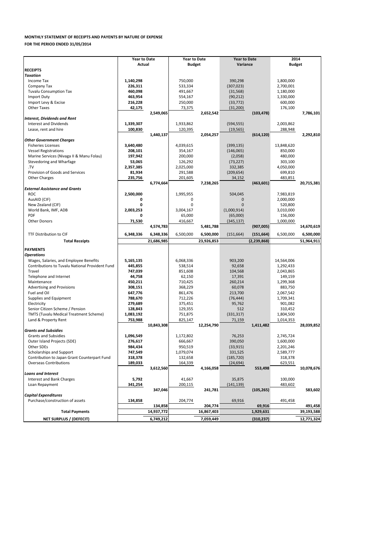## **MONTHLY STATEMENT OF RECEIPTS AND PAYENTS BY NATURE OF EXPENSE**

|                                                               | <b>Year to Date</b> |            | <b>Year to Date</b> |            | <b>Year to Date</b> |               | 2014          |            |
|---------------------------------------------------------------|---------------------|------------|---------------------|------------|---------------------|---------------|---------------|------------|
|                                                               | Actual              |            | <b>Budget</b>       |            | Variance            |               | <b>Budget</b> |            |
| <b>RECEIPTS</b>                                               |                     |            |                     |            |                     |               |               |            |
| Taxation                                                      |                     |            |                     |            |                     |               |               |            |
| Income Tax                                                    | 1,140,298           |            | 750,000             |            | 390,298             |               | 1,800,000     |            |
| Company Tax                                                   | 226,311             |            | 533,334             |            | (307, 023)          |               | 2,700,001     |            |
| <b>Tuvalu Consumption Tax</b>                                 | 460,098             |            | 491,667             |            | (31, 568)           |               | 1,180,000     |            |
| <b>Import Duty</b>                                            | 463,954             |            | 554.167             |            | (90, 212)           |               | 1,330,000     |            |
| Import Levy & Excise                                          | 216,228             |            | 250,000             |            | (33, 772)           |               | 600,000       |            |
| <b>Other Taxes</b>                                            | 42,175              |            | 73,375              |            | (31, 200)           |               | 176,100       |            |
|                                                               |                     | 2,549,065  |                     | 2,652,542  |                     | (103, 478)    |               | 7,786,101  |
|                                                               |                     |            |                     |            |                     |               |               |            |
| <b>Interest, Dividends and Rent</b><br>Interest and Dividends |                     |            |                     |            |                     |               |               |            |
|                                                               | 1,339,307           |            | 1,933,862           |            | (594, 555)          |               | 2,003,862     |            |
| Lease, rent and hire                                          | 100,830             |            | 120,395             |            | (19, 565)           |               | 288,948       |            |
|                                                               |                     | 1,440,137  |                     | 2,054,257  |                     | (614, 120)    |               | 2,292,810  |
| <b>Other Government Charges</b>                               |                     |            |                     |            |                     |               |               |            |
| <b>Fisheries Licenses</b>                                     | 3,640,480           |            | 4,039,615           |            | (399, 135)          |               | 13,848,620    |            |
| <b>Vessel Registrations</b>                                   | 208,101             |            | 354,167             |            | (146, 065)          |               | 850,000       |            |
| Marine Services (Nivaga II & Manu Folau)                      | 197,942             |            | 200,000             |            | (2,058)             |               | 480,000       |            |
| Stevedoring and Wharfage                                      | 53,065              |            | 126,292             |            | (73, 227)           |               | 303,100       |            |
| .TV                                                           | 2,357,385           |            | 2,025,000           |            | 332,385             |               | 4,050,000     |            |
| Provision of Goods and Services                               | 81,934              |            | 291,588             |            | (209, 654)          |               | 699,810       |            |
| <b>Other Charges</b>                                          | 235,756             |            | 201,605             |            | 34,152              |               | 483,851       |            |
|                                                               |                     | 6,774,664  |                     | 7,238,265  |                     | (463, 601)    |               | 20,715,381 |
| <b>External Assistance and Grants</b>                         |                     |            |                     |            |                     |               |               |            |
| <b>ROC</b>                                                    | 2,500,000           |            | 1,995,955           |            | 504,045             |               | 7,983,819     |            |
| AusAID (CIF)                                                  | 0                   |            | 0                   |            | $\mathbf{0}$        |               | 2,000,000     |            |
| New Zealand (CIF)                                             | 0                   |            | 0                   |            | $\mathbf{0}$        |               | 520,800       |            |
| World Bank, IMF, ADB                                          | 2,003,253           |            | 3,004,167           |            | (1,000,914)         |               | 3,010,000     |            |
| PDF                                                           | 0                   |            | 65,000              |            | (65,000)            |               | 156,000       |            |
| <b>Other Donors</b>                                           | 71,530              |            | 416,667             |            | (345, 137)          |               | 1,000,000     |            |
|                                                               |                     | 4,574,783  |                     | 5,481,788  |                     | (907,005)     |               | 14,670,619 |
|                                                               |                     |            |                     |            |                     |               |               |            |
| TTF Distribution to CIF                                       | 6,348,336           | 6,348,336  | 6,500,000           | 6,500,000  | (151, 664)          | (151, 664)    | 6,500,000     | 6,500,000  |
| <b>Total Receipts</b>                                         |                     | 21,686,985 |                     | 23,926,853 |                     | (2, 239, 868) |               | 51,964,911 |
|                                                               |                     |            |                     |            |                     |               |               |            |
| <b>PAYMENTS</b>                                               |                     |            |                     |            |                     |               |               |            |
| <b>Operations</b>                                             |                     |            |                     |            |                     |               |               |            |
| Wages, Salaries, and Employee Benefits                        | 5,165,135           |            | 6,068,336           |            | 903,200             |               | 14,564,006    |            |
| Contributions to Tuvalu National Provident Fund               | 445,855             |            | 538,514             |            | 92,658              |               | 1,292,433     |            |
| Travel                                                        | 747,039             |            | 851,608             |            | 104,568             |               | 2,043,865     |            |
| Telephone and Internet                                        | 44,758              |            | 62,150              |            | 17,391              |               | 149,159       |            |
| Maintenance                                                   | 450,211             |            | 710,425             |            | 260,214             |               | 1,299,368     |            |
| <b>Advertising and Provisions</b>                             | 308,151             |            | 368,229             |            | 60,078              |               | 883,750       |            |
| Fuel and Oil                                                  | 647,776             |            | 861,476             |            | 213,700             |               | 2,067,542     |            |
| Supplies and Equipment                                        | 788,670             |            | 712,226             |            | (76, 444)           |               | 1,709,341     |            |
| Electricity                                                   | 279,689             |            | 375,451             |            | 95,762              |               | 901,082       |            |
| Senior Citizen Scheme / Pension                               | 128,843             |            | 129,355             |            | 512                 |               | 310,452       |            |
| TMTS (Tuvalu Medical Treatment Scheme)                        | 1,083,192           |            | 751,875             |            | (331, 317)          |               | 1,804,500     |            |
| Land & Property Rent                                          | 753,988             |            | 825,147             |            | 71,159              |               | 1,014,353     |            |
|                                                               |                     | 10,843,308 |                     | 12,254,790 |                     | 1,411,482     |               | 28,039,852 |
| <b>Grants and Subsidies</b>                                   |                     |            |                     |            |                     |               |               |            |
| <b>Grants and Subsidies</b>                                   | 1,096,549           |            | 1,172,802           |            | 76,253              |               | 2,745,724     |            |
| Outer Island Projects (SDE)                                   | 276,617             |            | 666,667             |            | 390,050             |               | 1,600,000     |            |
| Other SDEs                                                    | 984,434             |            | 950,519             |            | (33, 915)           |               | 2,201,246     |            |
| Scholarships and Support                                      | 747,549             |            | 1,079,074           |            |                     |               |               |            |
|                                                               |                     |            |                     |            | 331,525             |               | 2,589,777     |            |
| Contribution to Japan Grant Counterpart Fund                  | 318,378             |            | 132,658             |            | (185, 720)          |               | 318,378       |            |
| <b>Overseas Contributions</b>                                 | 189,033             |            | 164,339             |            | (24, 694)           |               | 623,551       |            |
|                                                               |                     | 3,612,560  |                     | 4,166,058  |                     | 553,498       |               | 10,078,676 |
| Loans and Interest                                            |                     |            |                     |            |                     |               |               |            |
| Interest and Bank Charges                                     | 5,792               |            | 41,667              |            | 35,875              |               | 100,000       |            |
| Loan Repayment                                                | 341,254             |            | 200,115             |            | (141, 139)          |               | 483,602       |            |
|                                                               |                     | 347,046    |                     | 241,781    |                     | (105, 265)    |               | 583,602    |
| <b>Capital Expenditures</b>                                   |                     |            |                     |            |                     |               |               |            |
| Purchase/construction of assets                               | 134,858             |            | 204,774             |            | 69,916              |               | 491,458       |            |
|                                                               |                     | 134,858    |                     | 204,774    |                     | 69,916        |               | 491,458    |
| <b>Total Payments</b>                                         |                     | 14,937,772 |                     | 16,867,403 |                     | 1,929,631     |               | 39,193,588 |
| <b>NET SURPLUS / (DEFECIT)</b>                                |                     | 6,749,212  |                     | 7,059,449  |                     | (310, 237)    |               | 12,771,324 |